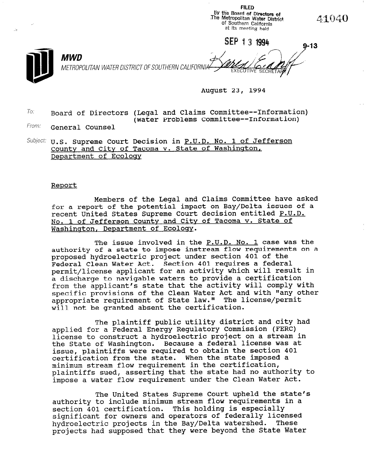

August 23, 1994

FILED

 $T$ o: Board of Directors (Legal and Claims Committee--Information) (Water Problems Committee--Information)

From: General Counsel

 $Subject: U.S.$  Supreme Court Decision in P.U.D. No. 1 of Jefferson County and City of Tacoma v. State of Washington, Department of Ecoloay

## Report

Members of the Legal and Claims Committee have asked for a report of the potential impact on Bay/Delta issues of a recent United States Supreme Court decision entitled P.U.D. No. 1 of Jefferson County and City of Tacoma v. State of Washinaton, Department of Ecology.

The issue involved in the P.U.D. No. 1 case was the authority of a state to impose instream flow requirements on a proposed hydroelectric project under section 401 of the Federal Clean Water Act. Section 401 requires a federal permit/license applicant for an activity which will result in a discharge to navigable waters to provide a certification from the applicant's state that the activity will comply with specific provisions of the Clean Water Act and with "any other appropriate requirement of State law." The license/permit will not be granted absent the certification.

The plaintiff public utility district and city had applied for a Federal Energy Regulatory Commission (FERC) license to construct a hydroelectric project on a stream in the State of Washington. Because a federal license was at issue, plaintiffs were required to obtain the section 401 certification from the state. When the state imposed a minimum stream flow requirement in the certification, plaintiffs sued, asserting that the state had no authority to pialments sued, asserting that the state had no additional

The United States Supreme Court upheld the state's The United States Supreme court uphera the state surnority to include minimum stream flow requirement section 401 certification. This holding is especially significant for owners and operators of federally licensed<br>hydroelectric projects in the Bay/Delta watershed. These projects had supposed that they were beyond the State Water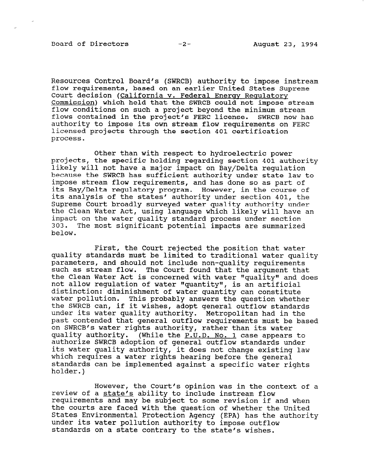Board of Directors -2- August 23, 1994

Resources Control Board's (SWRCB) authority to impose instream flow requirements, based on an earlier United States Supreme Court decision (California v. Federal Energy Regulatory Commission) which held that the SWRCB could not impose stream flow conditions on such a project beyond the minimum stream flows contained in the project's FERC license. SWRCB now has authority to impose its own stream flow requirements on FERC licensed projects through the section 401 certification process.

Other than with respect to hydroelectric power projects, the specific holding regarding section 401 authority likely will not have a major impact on Bay/Delta regulation because the SWRCB has sufficient authority under state law to impose stream flow requirements, and has done so as part of its Bay/Delta regulatory program. However, in the course of its analysis of the states' authority under section 401, the Supreme Court broadly surveyed water quality authority under the Clean Water Act, using language which likely will have an impact on the water quality standard process under section 303. The most significant potential impacts are summarized below.

First, the Court rejected the position that water quality standards must be limited to traditional water quality parameters, and should not include non-quality requirements such as stream flow. The Court found that the argument that the Clean Water Act is concerned with water "quality" and does not allow regulation of water "quantity", is an artificial distinction: diminishment of water quantity can constitute uistinction. Uiminismment of water quantity can constitute watti portation. This probably answers the question whether under its water quality authority. Metropolitan had in the past contended that general outflow requirements must be based on SWRCB's water rights authority, rather than its water quality authority. (While the P.U.D. No. 1 case appears to authorize SWRCB adoption of general outflow standards under authorize dance auoption of general outflow standards under which requires a water rights hearing before the general which requires a water rights hearing before the general standards can be implemented against a specific water rights<br>holder.)

However, the Court's opinion was in the context of a review of a state's ability to include instream flow review of a <u>state s</u> ability to include instream flow<br>requirements and may be subject to some weed when if and when tequilements and may be subject to some revision if and whe the courts are faced with the question of whether the United States Environmental Protection Agency (EPA) has the authority under its water pollution authority to impose outflow standards on a state contrary to the state's wishes.